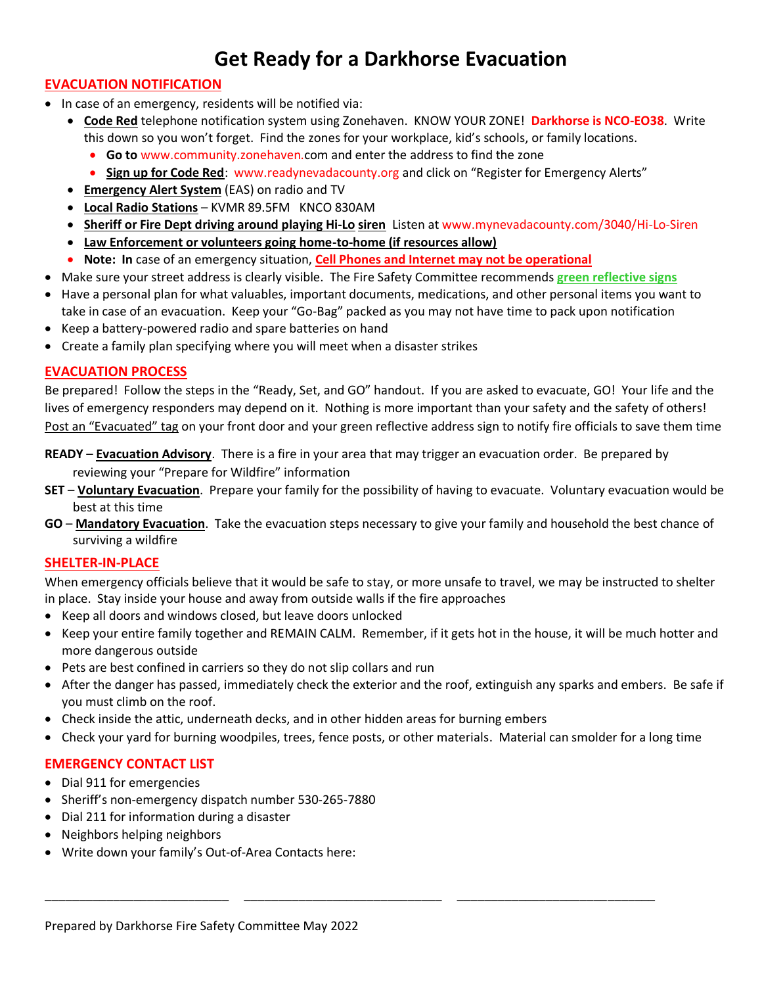# **Get Ready for a Darkhorse Evacuation**

## **EVACUATION NOTIFICATION**

- In case of an emergency, residents will be notified via:
	- **Code Red** telephone notification system using Zonehaven. KNOW YOUR ZONE! **Darkhorse is NCO-EO38**. Write this down so you won't forget. Find the zones for your workplace, kid's schools, or family locations.
		- **Go to** www.community.zonehaven.com and enter the address to find the zone
		- **Sign up for Code Red**: www.readynevadacounty.org and click on "Register for Emergency Alerts"
	- **Emergency Alert System** (EAS) on radio and TV
	- **Local Radio Stations** KVMR 89.5FM KNCO 830AM
	- **Sheriff or Fire Dept driving around playing Hi-Lo siren** Listen at www.mynevadacounty.com/3040/Hi-Lo-Siren
	- **Law Enforcement or volunteers going home-to-home (if resources allow)**
	- **Note: In** case of an emergency situation, **Cell Phones and Internet may not be operational**
- Make sure your street address is clearly visible. The Fire Safety Committee recommends **green reflective signs**
- Have a personal plan for what valuables, important documents, medications, and other personal items you want to take in case of an evacuation. Keep your "Go-Bag" packed as you may not have time to pack upon notification
- Keep a battery-powered radio and spare batteries on hand
- Create a family plan specifying where you will meet when a disaster strikes

### **EVACUATION PROCESS**

Be prepared! Follow the steps in the "Ready, Set, and GO" handout. If you are asked to evacuate, GO! Your life and the lives of emergency responders may depend on it. Nothing is more important than your safety and the safety of others! Post an "Evacuated" tag on your front door and your green reflective address sign to notify fire officials to save them time

**READY** – **Evacuation Advisory**. There is a fire in your area that may trigger an evacuation order. Be prepared by reviewing your "Prepare for Wildfire" information

- **SET Voluntary Evacuation**. Prepare your family for the possibility of having to evacuate. Voluntary evacuation would be best at this time
- **GO Mandatory Evacuation**. Take the evacuation steps necessary to give your family and household the best chance of surviving a wildfire

#### **SHELTER-IN-PLACE**

When emergency officials believe that it would be safe to stay, or more unsafe to travel, we may be instructed to shelter in place. Stay inside your house and away from outside walls if the fire approaches

- Keep all doors and windows closed, but leave doors unlocked
- Keep your entire family together and REMAIN CALM. Remember, if it gets hot in the house, it will be much hotter and more dangerous outside
- Pets are best confined in carriers so they do not slip collars and run
- After the danger has passed, immediately check the exterior and the roof, extinguish any sparks and embers. Be safe if you must climb on the roof.
- Check inside the attic, underneath decks, and in other hidden areas for burning embers
- Check your yard for burning woodpiles, trees, fence posts, or other materials. Material can smolder for a long time

\_\_\_\_\_\_\_\_\_\_\_\_\_\_\_\_\_\_\_\_\_\_\_\_\_\_\_ \_\_\_\_\_\_\_\_\_\_\_\_\_\_\_\_\_\_\_\_\_\_\_\_\_\_\_\_\_ \_\_\_\_\_\_\_\_\_\_\_\_\_\_\_\_\_\_\_\_\_\_\_\_\_\_\_\_\_

## **EMERGENCY CONTACT LIST**

- Dial 911 for emergencies
- Sheriff's non-emergency dispatch number 530-265-7880
- Dial 211 for information during a disaster
- Neighbors helping neighbors
- Write down your family's Out-of-Area Contacts here: